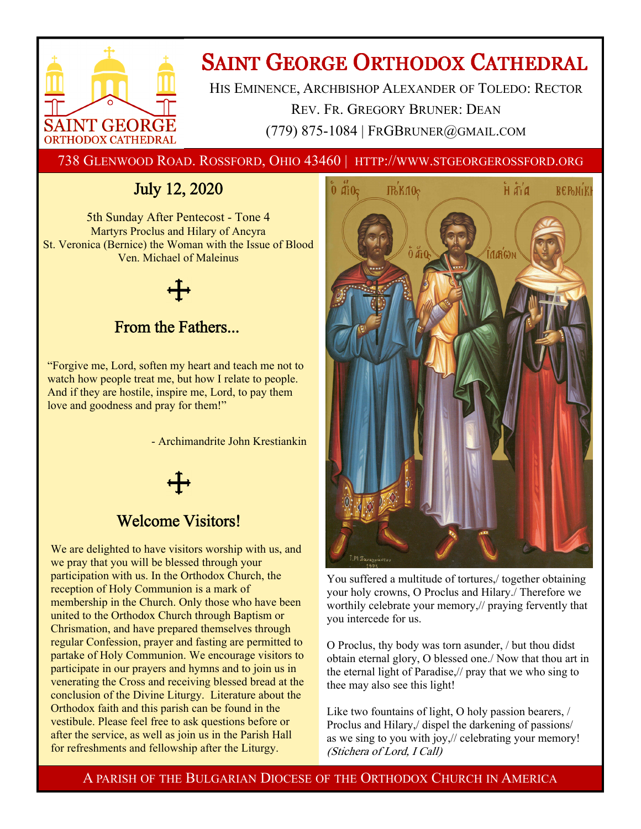

# **SAINT GEORGE ORTHODOX CATHEDRAL**

HIS EMINENCE, ARCHBISHOP ALEXANDER OF TOLEDO: RECTOR REV. FR. GREGORY BRUNER: DEAN (779) 875-1084 | FRGBRUNER@GMAIL.COM

738 GLENWOOD ROAD. ROSSFORD, OHIO 43460 | HTTP://WWW.STGEORGEROSSFORD.ORG

## July 12, 2020

5th Sunday After Pentecost - Tone 4 Martyrs Proclus and Hilary of Ancyra St. Veronica (Bernice) the Woman with the Issue of Blood Ven. Michael of Maleinus

### From the Fathers...

"Forgive me, Lord, soften my heart and teach me not to watch how people treat me, but how I relate to people. And if they are hostile, inspire me, Lord, to pay them love and goodness and pray for them!"

- Archimandrite John Krestiankin



### Welcome Visitors!

We are delighted to have visitors worship with us, and we pray that you will be blessed through your participation with us. In the Orthodox Church, the reception of Holy Communion is a mark of membership in the Church. Only those who have been united to the Orthodox Church through Baptism or Chrismation, and have prepared themselves through regular Confession, prayer and fasting are permitted to partake of Holy Communion. We encourage visitors to participate in our prayers and hymns and to join us in venerating the Cross and receiving blessed bread at the conclusion of the Divine Liturgy. Literature about the Orthodox faith and this parish can be found in the vestibule. Please feel free to ask questions before or after the service, as well as join us in the Parish Hall for refreshments and fellowship after the Liturgy.



You suffered a multitude of tortures,/ together obtaining your holy crowns, O Proclus and Hilary./ Therefore we worthily celebrate your memory,// praying fervently that you intercede for us.

O Proclus, thy body was torn asunder, / but thou didst obtain eternal glory, O blessed one./ Now that thou art in the eternal light of Paradise,// pray that we who sing to thee may also see this light!

Like two fountains of light, O holy passion bearers, / Proclus and Hilary,/ dispel the darkening of passions/ as we sing to you with joy,// celebrating your memory! (Stichera of Lord, I Call)

A PARISH OF THE BULGARIAN DIOCESE OF THE ORTHODOX CHURCH IN AMERICA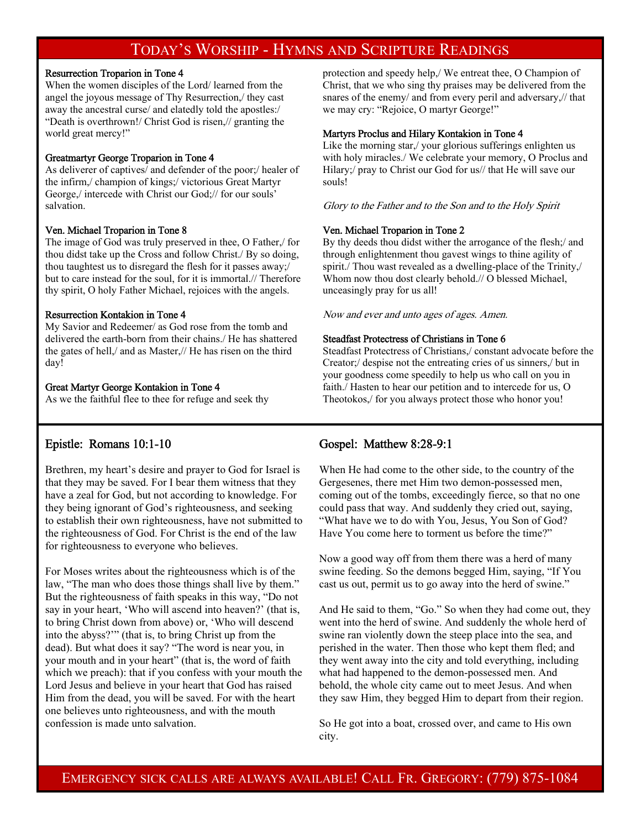### TODAY'S WORSHIP - HYMNS AND SCRIPTURE READINGS

#### Resurrection Troparion in Tone 4

When the women disciples of the Lord/ learned from the angel the joyous message of Thy Resurrection,/ they cast away the ancestral curse/ and elatedly told the apostles:/ "Death is overthrown!/ Christ God is risen,// granting the world great mercy!"

#### Greatmartyr George Troparion in Tone 4

As deliverer of captives/ and defender of the poor;/ healer of the infirm,/ champion of kings;/ victorious Great Martyr George,/ intercede with Christ our God;// for our souls' salvation.

#### Ven. Michael Troparion in Tone 8

The image of God was truly preserved in thee, O Father,/ for thou didst take up the Cross and follow Christ./ By so doing, thou taughtest us to disregard the flesh for it passes away;/ but to care instead for the soul, for it is immortal.// Therefore thy spirit, O holy Father Michael, rejoices with the angels.

#### Resurrection Kontakion in Tone 4

My Savior and Redeemer/ as God rose from the tomb and delivered the earth-born from their chains./ He has shattered the gates of hell,/ and as Master,// He has risen on the third day!

#### Great Martyr George Kontakion in Tone 4

As we the faithful flee to thee for refuge and seek thy

protection and speedy help,/ We entreat thee, O Champion of Christ, that we who sing thy praises may be delivered from the snares of the enemy/ and from every peril and adversary,// that we may cry: "Rejoice, O martyr George!"

#### Martyrs Proclus and Hilary Kontakion in Tone 4

Like the morning star,/ your glorious sufferings enlighten us with holy miracles./ We celebrate your memory, O Proclus and Hilary;/ pray to Christ our God for us// that He will save our souls!

Glory to the Father and to the Son and to the Holy Spirit

#### Ven. Michael Troparion in Tone 2

By thy deeds thou didst wither the arrogance of the flesh;/ and through enlightenment thou gavest wings to thine agility of spirit./ Thou wast revealed as a dwelling-place of the Trinity,/ Whom now thou dost clearly behold.// O blessed Michael, unceasingly pray for us all!

Now and ever and unto ages of ages. Amen.

#### Steadfast Protectress of Christians in Tone 6

Steadfast Protectress of Christians,/ constant advocate before the Creator;/ despise not the entreating cries of us sinners,/ but in your goodness come speedily to help us who call on you in faith./ Hasten to hear our petition and to intercede for us, O Theotokos,/ for you always protect those who honor you!

#### Epistle: Romans 10:1-10

Brethren, my heart's desire and prayer to God for Israel is that they may be saved. For I bear them witness that they have a zeal for God, but not according to knowledge. For they being ignorant of God's righteousness, and seeking to establish their own righteousness, have not submitted to the righteousness of God. For Christ is the end of the law for righteousness to everyone who believes.

For Moses writes about the righteousness which is of the law, "The man who does those things shall live by them." But the righteousness of faith speaks in this way, "Do not say in your heart, 'Who will ascend into heaven?' (that is, to bring Christ down from above) or, 'Who will descend into the abyss?'" (that is, to bring Christ up from the dead). But what does it say? "The word is near you, in your mouth and in your heart" (that is, the word of faith which we preach): that if you confess with your mouth the Lord Jesus and believe in your heart that God has raised Him from the dead, you will be saved. For with the heart one believes unto righteousness, and with the mouth confession is made unto salvation.

#### Gospel: Matthew 8:28-9:1

When He had come to the other side, to the country of the Gergesenes, there met Him two demon-possessed men, coming out of the tombs, exceedingly fierce, so that no one could pass that way. And suddenly they cried out, saying, "What have we to do with You, Jesus, You Son of God? Have You come here to torment us before the time?"

Now a good way off from them there was a herd of many swine feeding. So the demons begged Him, saying, "If You cast us out, permit us to go away into the herd of swine."

And He said to them, "Go." So when they had come out, they went into the herd of swine. And suddenly the whole herd of swine ran violently down the steep place into the sea, and perished in the water. Then those who kept them fled; and they went away into the city and told everything, including what had happened to the demon-possessed men. And behold, the whole city came out to meet Jesus. And when they saw Him, they begged Him to depart from their region.

So He got into a boat, crossed over, and came to His own city.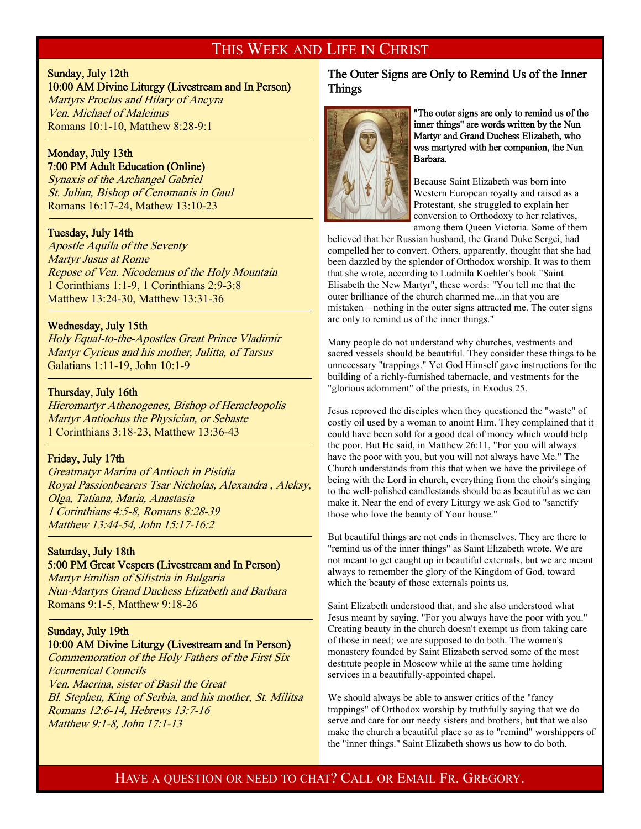#### THIS WEEK AND LIFE IN CHRIST

#### Sunday, July 12th

<sup>-</sup>

#### 10:00 AM Divine Liturgy (Livestream and In Person)

Martyrs Proclus and Hilary of Ancyra Ven. Michael of Maleinus Romans 10:1-10, Matthew 8:28-9:1

#### Monday, July 13th 7:00 PM Adult Education (Online)

Synaxis of the Archangel Gabriel St. Julian, Bishop of Cenomanis in Gaul Romans 16:17-24, Mathew 13:10-23

#### Tuesday, July 14th

Apostle Aquila of the Seventy Martyr Jusus at Rome Repose of Ven. Nicodemus of the Holy Mountain 1 Corinthians 1:1-9, 1 Corinthians 2:9-3:8 Matthew 13:24-30, Matthew 13:31-36

#### Wednesday, July 15th

Holy Equal-to-the-Apostles Great Prince Vladimir Martyr Cyricus and his mother, Julitta, of Tarsus Galatians 1:11-19, John 10:1-9

#### Thursday, July 16th

-

-

Hieromartyr Athenogenes, Bishop of Heracleopolis Martyr Antiochus the Physician, or Sebaste 1 Corinthians 3:18-23, Matthew 13:36-43

#### Friday, July 17th

Greatmatyr Marina of Antioch in Pisidia Royal Passionbearers Tsar Nicholas, Alexandra , Aleksy, Olga, Tatiana, Maria, Anastasia 1 Corinthians 4:5-8, Romans 8:28-39 Matthew 13:44-54, John 15:17-16:2

#### Saturday, July 18th 5:00 PM Great Vespers (Livestream and In Person)

Martyr Emilian of Silistria in Bulgaria Nun-Martyrs Grand Duchess Elizabeth and Barbara Romans 9:1-5, Matthew 9:18-26

#### Sunday, July 19th 10:00 AM Divine Liturgy (Livestream and In Person)

Commemoration of the Holy Fathers of the First Six Ecumenical Councils Ven. Macrina, sister of Basil the Great Bl. Stephen, King of Serbia, and his mother, St. Militsa Romans 12:6-14, Hebrews 13:7-16 Matthew 9:1-8, John 17:1-13

#### The Outer Signs are Only to Remind Us of the Inner Things



#### "The outer signs are only to remind us of the inner things" are words written by the Nun Martyr and Grand Duchess Elizabeth, who was martyred with her companion, the Nun Barbara.

Because Saint Elizabeth was born into Western European royalty and raised as a Protestant, she struggled to explain her conversion to Orthodoxy to her relatives, among them Queen Victoria. Some of them

believed that her Russian husband, the Grand Duke Sergei, had compelled her to convert. Others, apparently, thought that she had been dazzled by the splendor of Orthodox worship. It was to them that she wrote, according to Ludmila Koehler's book "Saint Elisabeth the New Martyr", these words: "You tell me that the outer brilliance of the church charmed me...in that you are mistaken—nothing in the outer signs attracted me. The outer signs are only to remind us of the inner things."

Many people do not understand why churches, vestments and sacred vessels should be beautiful. They consider these things to be unnecessary "trappings." Yet God Himself gave instructions for the building of a richly-furnished tabernacle, and vestments for the "glorious adornment" of the priests, in Exodus 25.

Jesus reproved the disciples when they questioned the "waste" of costly oil used by a woman to anoint Him. They complained that it could have been sold for a good deal of money which would help the poor. But He said, in Matthew 26:11, "For you will always have the poor with you, but you will not always have Me." The Church understands from this that when we have the privilege of being with the Lord in church, everything from the choir's singing to the well-polished candlestands should be as beautiful as we can make it. Near the end of every Liturgy we ask God to "sanctify those who love the beauty of Your house."

But beautiful things are not ends in themselves. They are there to "remind us of the inner things" as Saint Elizabeth wrote. We are not meant to get caught up in beautiful externals, but we are meant always to remember the glory of the Kingdom of God, toward which the beauty of those externals points us.

Saint Elizabeth understood that, and she also understood what Jesus meant by saying, "For you always have the poor with you." Creating beauty in the church doesn't exempt us from taking care of those in need; we are supposed to do both. The women's monastery founded by Saint Elizabeth served some of the most destitute people in Moscow while at the same time holding services in a beautifully-appointed chapel.

We should always be able to answer critics of the "fancy trappings" of Orthodox worship by truthfully saying that we do serve and care for our needy sisters and brothers, but that we also make the church a beautiful place so as to "remind" worshippers of the "inner things." Saint Elizabeth shows us how to do both.

### HAVE A QUESTION OR NEED TO CHAT? CALL OR EMAIL FR. GREGORY.